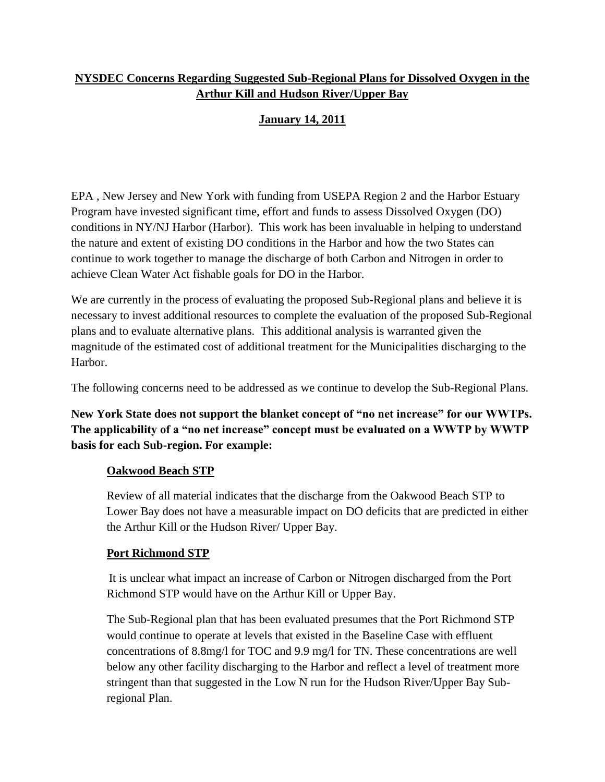## **NYSDEC Concerns Regarding Suggested Sub-Regional Plans for Dissolved Oxygen in the Arthur Kill and Hudson River/Upper Bay**

# **January 14, 2011**

EPA , New Jersey and New York with funding from USEPA Region 2 and the Harbor Estuary Program have invested significant time, effort and funds to assess Dissolved Oxygen (DO) conditions in NY/NJ Harbor (Harbor). This work has been invaluable in helping to understand the nature and extent of existing DO conditions in the Harbor and how the two States can continue to work together to manage the discharge of both Carbon and Nitrogen in order to achieve Clean Water Act fishable goals for DO in the Harbor.

We are currently in the process of evaluating the proposed Sub-Regional plans and believe it is necessary to invest additional resources to complete the evaluation of the proposed Sub-Regional plans and to evaluate alternative plans. This additional analysis is warranted given the magnitude of the estimated cost of additional treatment for the Municipalities discharging to the Harbor.

The following concerns need to be addressed as we continue to develop the Sub-Regional Plans.

**New York State does not support the blanket concept of "no net increase" for our WWTPs. The applicability of a "no net increase" concept must be evaluated on a WWTP by WWTP basis for each Sub-region. For example:**

### **Oakwood Beach STP**

Review of all material indicates that the discharge from the Oakwood Beach STP to Lower Bay does not have a measurable impact on DO deficits that are predicted in either the Arthur Kill or the Hudson River/ Upper Bay.

### **Port Richmond STP**

It is unclear what impact an increase of Carbon or Nitrogen discharged from the Port Richmond STP would have on the Arthur Kill or Upper Bay.

The Sub-Regional plan that has been evaluated presumes that the Port Richmond STP would continue to operate at levels that existed in the Baseline Case with effluent concentrations of 8.8mg/l for TOC and 9.9 mg/l for TN. These concentrations are well below any other facility discharging to the Harbor and reflect a level of treatment more stringent than that suggested in the Low N run for the Hudson River/Upper Bay Subregional Plan.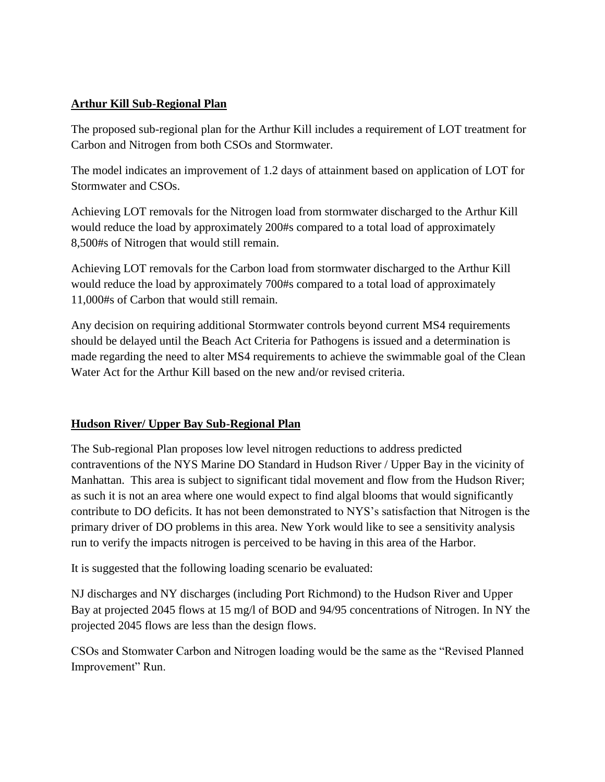### **Arthur Kill Sub-Regional Plan**

The proposed sub-regional plan for the Arthur Kill includes a requirement of LOT treatment for Carbon and Nitrogen from both CSOs and Stormwater.

The model indicates an improvement of 1.2 days of attainment based on application of LOT for Stormwater and CSOs.

Achieving LOT removals for the Nitrogen load from stormwater discharged to the Arthur Kill would reduce the load by approximately 200#s compared to a total load of approximately 8,500#s of Nitrogen that would still remain.

Achieving LOT removals for the Carbon load from stormwater discharged to the Arthur Kill would reduce the load by approximately 700#s compared to a total load of approximately 11,000#s of Carbon that would still remain.

Any decision on requiring additional Stormwater controls beyond current MS4 requirements should be delayed until the Beach Act Criteria for Pathogens is issued and a determination is made regarding the need to alter MS4 requirements to achieve the swimmable goal of the Clean Water Act for the Arthur Kill based on the new and/or revised criteria.

## **Hudson River/ Upper Bay Sub-Regional Plan**

The Sub-regional Plan proposes low level nitrogen reductions to address predicted contraventions of the NYS Marine DO Standard in Hudson River / Upper Bay in the vicinity of Manhattan. This area is subject to significant tidal movement and flow from the Hudson River; as such it is not an area where one would expect to find algal blooms that would significantly contribute to DO deficits. It has not been demonstrated to NYS's satisfaction that Nitrogen is the primary driver of DO problems in this area. New York would like to see a sensitivity analysis run to verify the impacts nitrogen is perceived to be having in this area of the Harbor.

It is suggested that the following loading scenario be evaluated:

NJ discharges and NY discharges (including Port Richmond) to the Hudson River and Upper Bay at projected 2045 flows at 15 mg/l of BOD and 94/95 concentrations of Nitrogen. In NY the projected 2045 flows are less than the design flows.

CSOs and Stomwater Carbon and Nitrogen loading would be the same as the "Revised Planned Improvement" Run.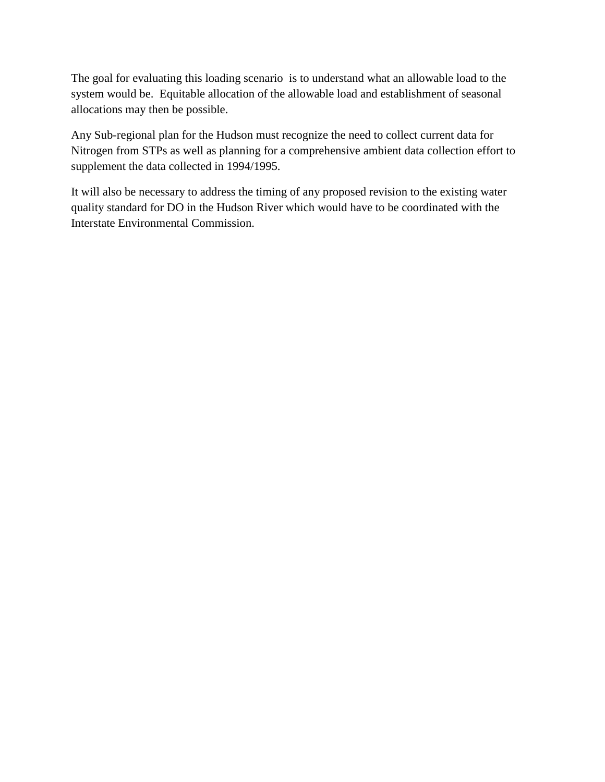The goal for evaluating this loading scenario is to understand what an allowable load to the system would be. Equitable allocation of the allowable load and establishment of seasonal allocations may then be possible.

Any Sub-regional plan for the Hudson must recognize the need to collect current data for Nitrogen from STPs as well as planning for a comprehensive ambient data collection effort to supplement the data collected in 1994/1995.

It will also be necessary to address the timing of any proposed revision to the existing water quality standard for DO in the Hudson River which would have to be coordinated with the Interstate Environmental Commission.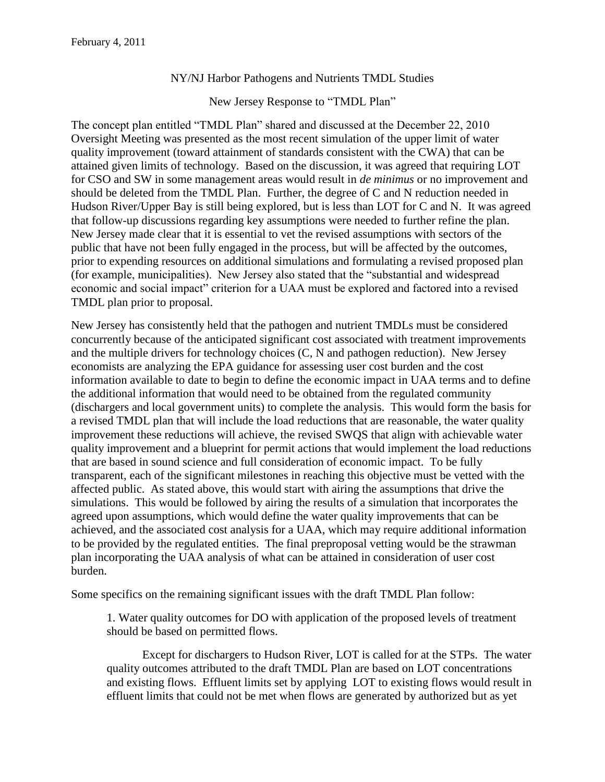#### NY/NJ Harbor Pathogens and Nutrients TMDL Studies

New Jersey Response to "TMDL Plan"

The concept plan entitled "TMDL Plan" shared and discussed at the December 22, 2010 Oversight Meeting was presented as the most recent simulation of the upper limit of water quality improvement (toward attainment of standards consistent with the CWA) that can be attained given limits of technology. Based on the discussion, it was agreed that requiring LOT for CSO and SW in some management areas would result in *de minimus* or no improvement and should be deleted from the TMDL Plan. Further, the degree of C and N reduction needed in Hudson River/Upper Bay is still being explored, but is less than LOT for C and N. It was agreed that follow-up discussions regarding key assumptions were needed to further refine the plan. New Jersey made clear that it is essential to vet the revised assumptions with sectors of the public that have not been fully engaged in the process, but will be affected by the outcomes, prior to expending resources on additional simulations and formulating a revised proposed plan (for example, municipalities). New Jersey also stated that the "substantial and widespread economic and social impact" criterion for a UAA must be explored and factored into a revised TMDL plan prior to proposal.

New Jersey has consistently held that the pathogen and nutrient TMDLs must be considered concurrently because of the anticipated significant cost associated with treatment improvements and the multiple drivers for technology choices (C, N and pathogen reduction). New Jersey economists are analyzing the EPA guidance for assessing user cost burden and the cost information available to date to begin to define the economic impact in UAA terms and to define the additional information that would need to be obtained from the regulated community (dischargers and local government units) to complete the analysis. This would form the basis for a revised TMDL plan that will include the load reductions that are reasonable, the water quality improvement these reductions will achieve, the revised SWQS that align with achievable water quality improvement and a blueprint for permit actions that would implement the load reductions that are based in sound science and full consideration of economic impact. To be fully transparent, each of the significant milestones in reaching this objective must be vetted with the affected public. As stated above, this would start with airing the assumptions that drive the simulations. This would be followed by airing the results of a simulation that incorporates the agreed upon assumptions, which would define the water quality improvements that can be achieved, and the associated cost analysis for a UAA, which may require additional information to be provided by the regulated entities. The final preproposal vetting would be the strawman plan incorporating the UAA analysis of what can be attained in consideration of user cost burden.

Some specifics on the remaining significant issues with the draft TMDL Plan follow:

1. Water quality outcomes for DO with application of the proposed levels of treatment should be based on permitted flows.

Except for dischargers to Hudson River, LOT is called for at the STPs. The water quality outcomes attributed to the draft TMDL Plan are based on LOT concentrations and existing flows. Effluent limits set by applying LOT to existing flows would result in effluent limits that could not be met when flows are generated by authorized but as yet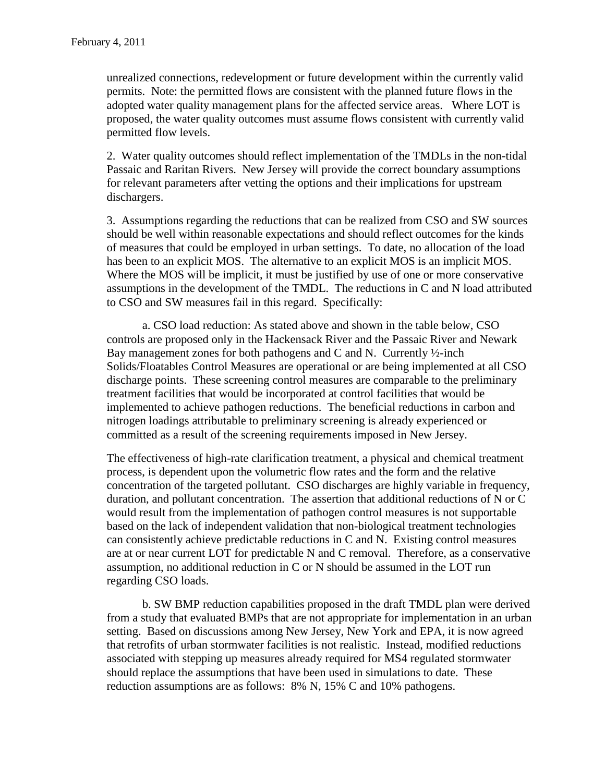unrealized connections, redevelopment or future development within the currently valid permits. Note: the permitted flows are consistent with the planned future flows in the adopted water quality management plans for the affected service areas. Where LOT is proposed, the water quality outcomes must assume flows consistent with currently valid permitted flow levels.

2. Water quality outcomes should reflect implementation of the TMDLs in the non-tidal Passaic and Raritan Rivers. New Jersey will provide the correct boundary assumptions for relevant parameters after vetting the options and their implications for upstream dischargers.

3. Assumptions regarding the reductions that can be realized from CSO and SW sources should be well within reasonable expectations and should reflect outcomes for the kinds of measures that could be employed in urban settings. To date, no allocation of the load has been to an explicit MOS. The alternative to an explicit MOS is an implicit MOS. Where the MOS will be implicit, it must be justified by use of one or more conservative assumptions in the development of the TMDL. The reductions in C and N load attributed to CSO and SW measures fail in this regard. Specifically:

a. CSO load reduction: As stated above and shown in the table below, CSO controls are proposed only in the Hackensack River and the Passaic River and Newark Bay management zones for both pathogens and C and N. Currently ½-inch Solids/Floatables Control Measures are operational or are being implemented at all CSO discharge points. These screening control measures are comparable to the preliminary treatment facilities that would be incorporated at control facilities that would be implemented to achieve pathogen reductions. The beneficial reductions in carbon and nitrogen loadings attributable to preliminary screening is already experienced or committed as a result of the screening requirements imposed in New Jersey.

The effectiveness of high-rate clarification treatment, a physical and chemical treatment process, is dependent upon the volumetric flow rates and the form and the relative concentration of the targeted pollutant. CSO discharges are highly variable in frequency, duration, and pollutant concentration. The assertion that additional reductions of N or C would result from the implementation of pathogen control measures is not supportable based on the lack of independent validation that non-biological treatment technologies can consistently achieve predictable reductions in C and N. Existing control measures are at or near current LOT for predictable N and C removal. Therefore, as a conservative assumption, no additional reduction in C or N should be assumed in the LOT run regarding CSO loads.

b. SW BMP reduction capabilities proposed in the draft TMDL plan were derived from a study that evaluated BMPs that are not appropriate for implementation in an urban setting. Based on discussions among New Jersey, New York and EPA, it is now agreed that retrofits of urban stormwater facilities is not realistic. Instead, modified reductions associated with stepping up measures already required for MS4 regulated stormwater should replace the assumptions that have been used in simulations to date. These reduction assumptions are as follows: 8% N, 15% C and 10% pathogens.